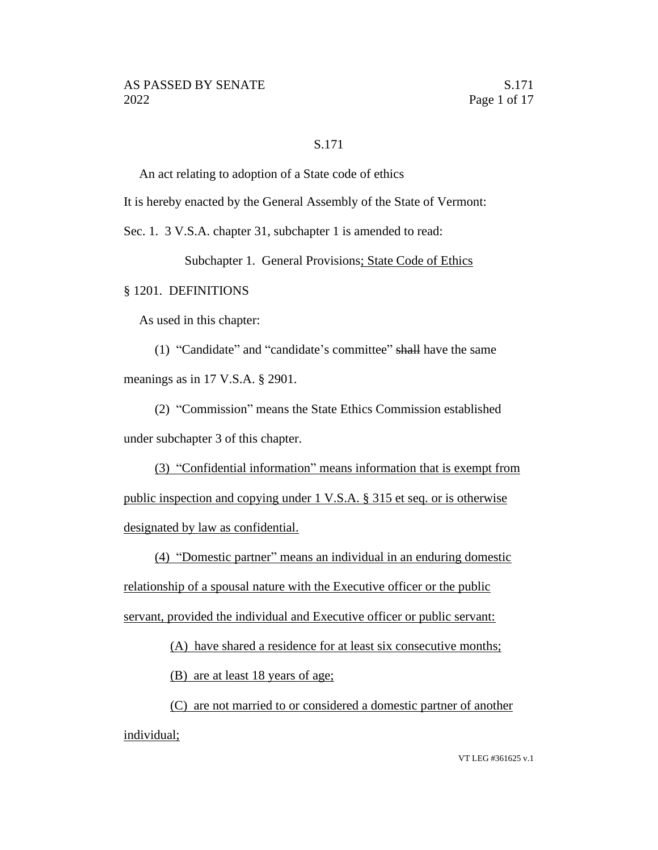#### S.171

An act relating to adoption of a State code of ethics

It is hereby enacted by the General Assembly of the State of Vermont:

Sec. 1. 3 V.S.A. chapter 31, subchapter 1 is amended to read:

Subchapter 1. General Provisions; State Code of Ethics

#### § 1201. DEFINITIONS

As used in this chapter:

(1) "Candidate" and "candidate's committee" shall have the same meanings as in 17 V.S.A. § 2901.

(2) "Commission" means the State Ethics Commission established under subchapter 3 of this chapter.

(3) "Confidential information" means information that is exempt from public inspection and copying under 1 V.S.A. § 315 et seq. or is otherwise designated by law as confidential.

(4) "Domestic partner" means an individual in an enduring domestic relationship of a spousal nature with the Executive officer or the public servant, provided the individual and Executive officer or public servant:

(A) have shared a residence for at least six consecutive months;

(B) are at least 18 years of age;

(C) are not married to or considered a domestic partner of another individual;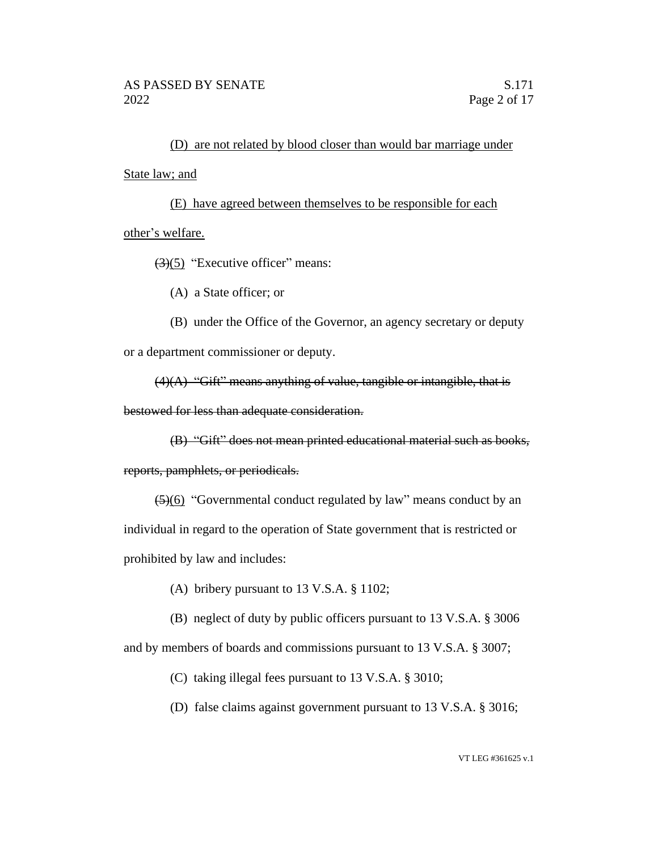(D) are not related by blood closer than would bar marriage under State law; and

(E) have agreed between themselves to be responsible for each other's welfare.

 $(3)(5)$  "Executive officer" means:

(A) a State officer; or

(B) under the Office of the Governor, an agency secretary or deputy or a department commissioner or deputy.

 $(4)(A)$  "Gift" means anything of value, tangible or intangible, that is

bestowed for less than adequate consideration.

(B) "Gift" does not mean printed educational material such as books,

reports, pamphlets, or periodicals.

(5)(6) "Governmental conduct regulated by law" means conduct by an individual in regard to the operation of State government that is restricted or prohibited by law and includes:

(A) bribery pursuant to 13 V.S.A. § 1102;

(B) neglect of duty by public officers pursuant to 13 V.S.A. § 3006

and by members of boards and commissions pursuant to 13 V.S.A. § 3007;

(C) taking illegal fees pursuant to 13 V.S.A. § 3010;

(D) false claims against government pursuant to 13 V.S.A. § 3016;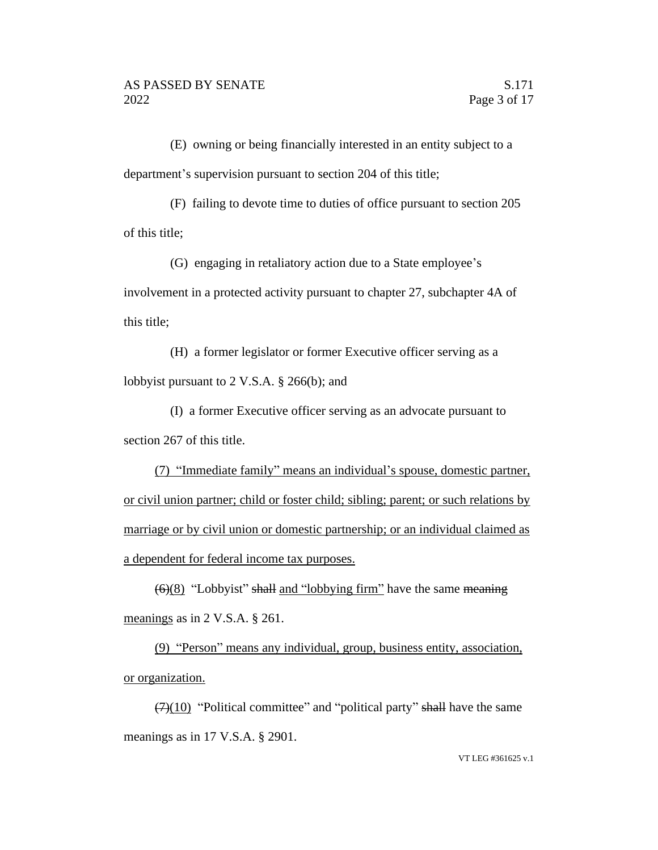(E) owning or being financially interested in an entity subject to a department's supervision pursuant to section 204 of this title;

(F) failing to devote time to duties of office pursuant to section 205 of this title;

(G) engaging in retaliatory action due to a State employee's involvement in a protected activity pursuant to chapter 27, subchapter 4A of this title;

(H) a former legislator or former Executive officer serving as a lobbyist pursuant to 2 V.S.A. § 266(b); and

(I) a former Executive officer serving as an advocate pursuant to section 267 of this title.

(7) "Immediate family" means an individual's spouse, domestic partner, or civil union partner; child or foster child; sibling; parent; or such relations by marriage or by civil union or domestic partnership; or an individual claimed as a dependent for federal income tax purposes.

 $\left(\frac{6}{8}\right)$  "Lobbyist" shall and "lobbying firm" have the same meaning meanings as in 2 V.S.A. § 261.

(9) "Person" means any individual, group, business entity, association, or organization.

 $(7)(10)$  "Political committee" and "political party" shall have the same meanings as in 17 V.S.A. § 2901.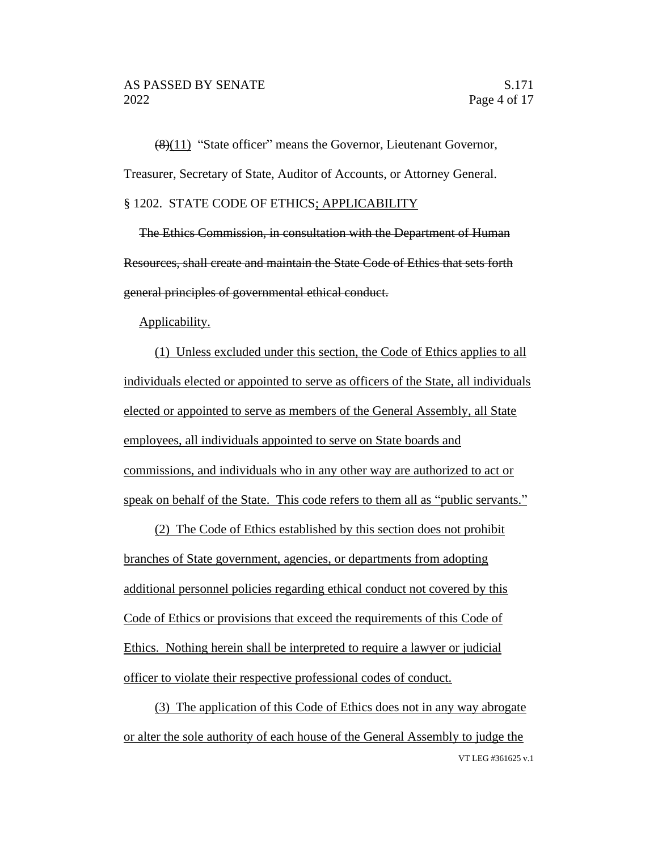(8)(11) "State officer" means the Governor, Lieutenant Governor, Treasurer, Secretary of State, Auditor of Accounts, or Attorney General. § 1202. STATE CODE OF ETHICS; APPLICABILITY

The Ethics Commission, in consultation with the Department of Human Resources, shall create and maintain the State Code of Ethics that sets forth general principles of governmental ethical conduct.

#### Applicability.

(1) Unless excluded under this section, the Code of Ethics applies to all individuals elected or appointed to serve as officers of the State, all individuals elected or appointed to serve as members of the General Assembly, all State employees, all individuals appointed to serve on State boards and commissions, and individuals who in any other way are authorized to act or speak on behalf of the State. This code refers to them all as "public servants."

(2) The Code of Ethics established by this section does not prohibit branches of State government, agencies, or departments from adopting additional personnel policies regarding ethical conduct not covered by this Code of Ethics or provisions that exceed the requirements of this Code of Ethics. Nothing herein shall be interpreted to require a lawyer or judicial officer to violate their respective professional codes of conduct.

VT LEG #361625 v.1 (3) The application of this Code of Ethics does not in any way abrogate or alter the sole authority of each house of the General Assembly to judge the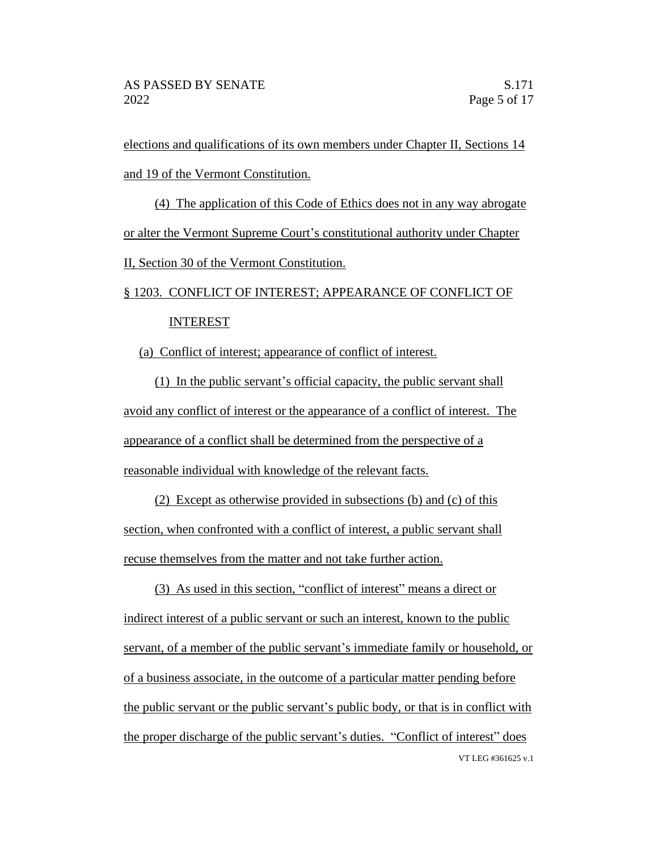elections and qualifications of its own members under Chapter II, Sections 14 and 19 of the Vermont Constitution.

(4) The application of this Code of Ethics does not in any way abrogate or alter the Vermont Supreme Court's constitutional authority under Chapter II, Section 30 of the Vermont Constitution.

# § 1203. CONFLICT OF INTEREST; APPEARANCE OF CONFLICT OF INTEREST

(a) Conflict of interest; appearance of conflict of interest.

(1) In the public servant's official capacity, the public servant shall avoid any conflict of interest or the appearance of a conflict of interest. The appearance of a conflict shall be determined from the perspective of a reasonable individual with knowledge of the relevant facts.

(2) Except as otherwise provided in subsections (b) and (c) of this section, when confronted with a conflict of interest, a public servant shall recuse themselves from the matter and not take further action.

VT LEG #361625 v.1 (3) As used in this section, "conflict of interest" means a direct or indirect interest of a public servant or such an interest, known to the public servant, of a member of the public servant's immediate family or household, or of a business associate, in the outcome of a particular matter pending before the public servant or the public servant's public body, or that is in conflict with the proper discharge of the public servant's duties. "Conflict of interest" does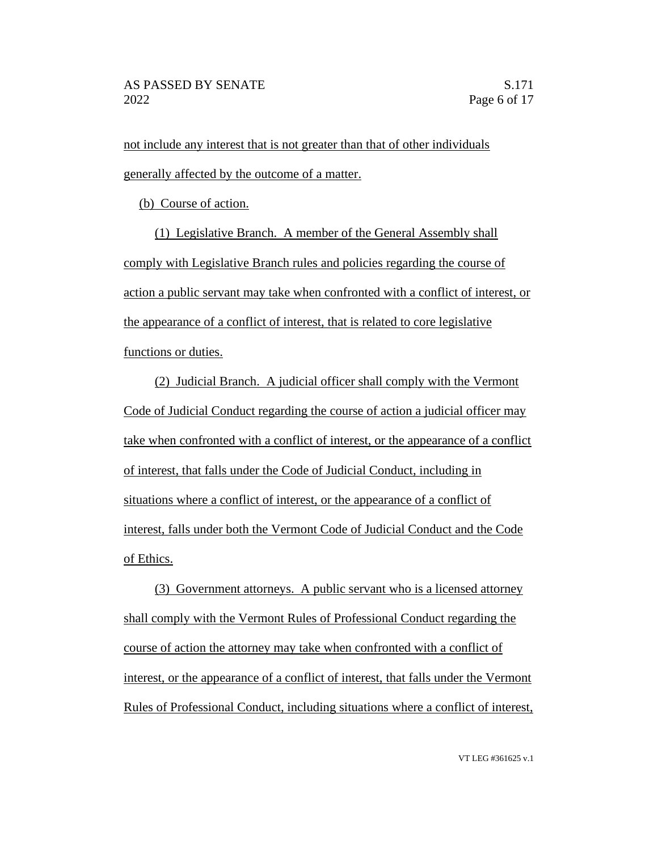not include any interest that is not greater than that of other individuals generally affected by the outcome of a matter.

(b) Course of action.

(1) Legislative Branch. A member of the General Assembly shall comply with Legislative Branch rules and policies regarding the course of action a public servant may take when confronted with a conflict of interest, or the appearance of a conflict of interest, that is related to core legislative functions or duties.

(2) Judicial Branch. A judicial officer shall comply with the Vermont Code of Judicial Conduct regarding the course of action a judicial officer may take when confronted with a conflict of interest, or the appearance of a conflict of interest, that falls under the Code of Judicial Conduct, including in situations where a conflict of interest, or the appearance of a conflict of interest, falls under both the Vermont Code of Judicial Conduct and the Code of Ethics.

(3) Government attorneys. A public servant who is a licensed attorney shall comply with the Vermont Rules of Professional Conduct regarding the course of action the attorney may take when confronted with a conflict of interest, or the appearance of a conflict of interest, that falls under the Vermont Rules of Professional Conduct, including situations where a conflict of interest,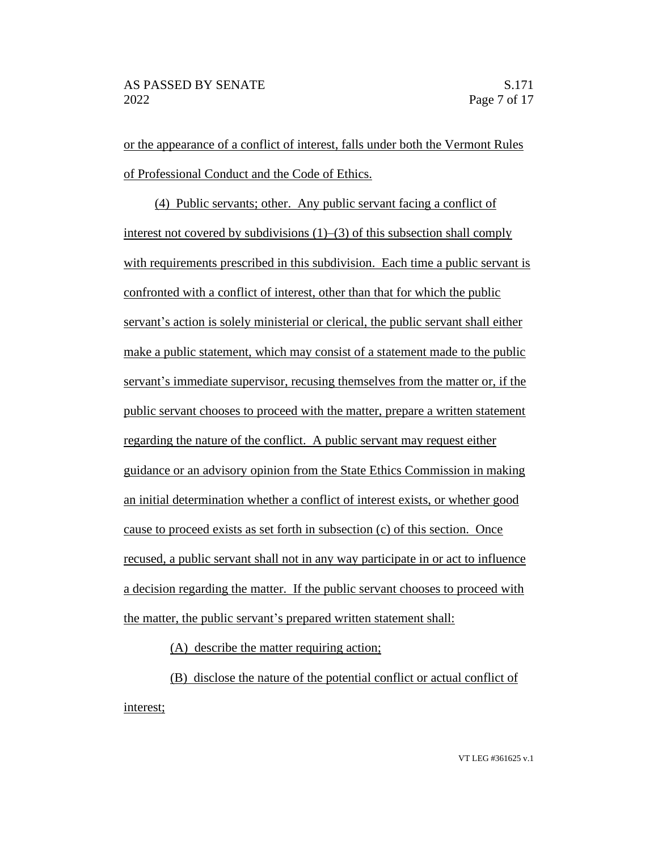or the appearance of a conflict of interest, falls under both the Vermont Rules of Professional Conduct and the Code of Ethics.

(4) Public servants; other. Any public servant facing a conflict of interest not covered by subdivisions (1)–(3) of this subsection shall comply with requirements prescribed in this subdivision. Each time a public servant is confronted with a conflict of interest, other than that for which the public servant's action is solely ministerial or clerical, the public servant shall either make a public statement, which may consist of a statement made to the public servant's immediate supervisor, recusing themselves from the matter or, if the public servant chooses to proceed with the matter, prepare a written statement regarding the nature of the conflict. A public servant may request either guidance or an advisory opinion from the State Ethics Commission in making an initial determination whether a conflict of interest exists, or whether good cause to proceed exists as set forth in subsection (c) of this section. Once recused, a public servant shall not in any way participate in or act to influence a decision regarding the matter. If the public servant chooses to proceed with the matter, the public servant's prepared written statement shall:

(A) describe the matter requiring action;

(B) disclose the nature of the potential conflict or actual conflict of interest;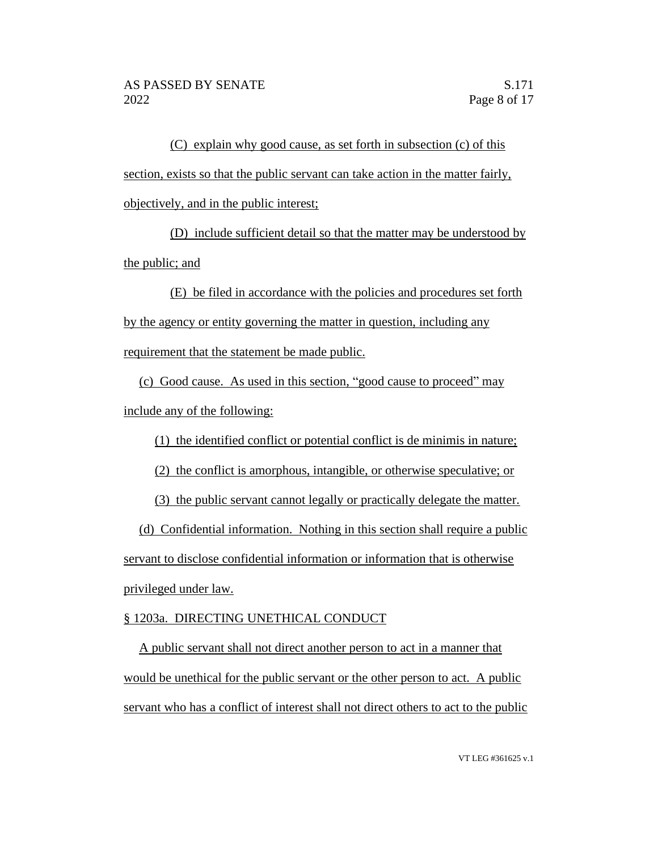(C) explain why good cause, as set forth in subsection (c) of this section, exists so that the public servant can take action in the matter fairly, objectively, and in the public interest;

(D) include sufficient detail so that the matter may be understood by the public; and

(E) be filed in accordance with the policies and procedures set forth by the agency or entity governing the matter in question, including any requirement that the statement be made public.

(c) Good cause. As used in this section, "good cause to proceed" may include any of the following:

(1) the identified conflict or potential conflict is de minimis in nature;

(2) the conflict is amorphous, intangible, or otherwise speculative; or

(3) the public servant cannot legally or practically delegate the matter.

(d) Confidential information. Nothing in this section shall require a public servant to disclose confidential information or information that is otherwise privileged under law.

# § 1203a. DIRECTING UNETHICAL CONDUCT

A public servant shall not direct another person to act in a manner that would be unethical for the public servant or the other person to act. A public servant who has a conflict of interest shall not direct others to act to the public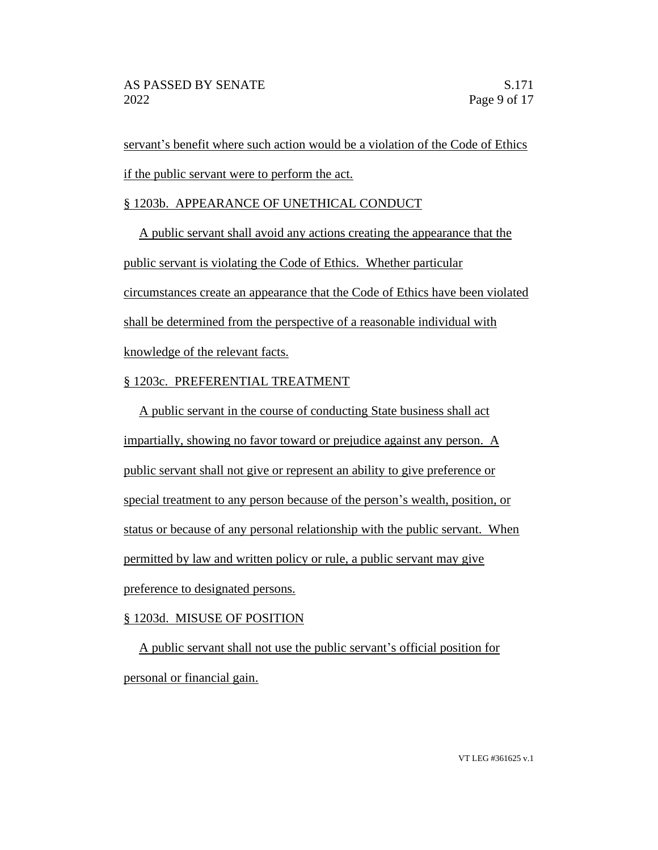servant's benefit where such action would be a violation of the Code of Ethics if the public servant were to perform the act.

# § 1203b. APPEARANCE OF UNETHICAL CONDUCT

A public servant shall avoid any actions creating the appearance that the public servant is violating the Code of Ethics. Whether particular circumstances create an appearance that the Code of Ethics have been violated shall be determined from the perspective of a reasonable individual with knowledge of the relevant facts.

# § 1203c. PREFERENTIAL TREATMENT

A public servant in the course of conducting State business shall act impartially, showing no favor toward or prejudice against any person. A public servant shall not give or represent an ability to give preference or special treatment to any person because of the person's wealth, position, or status or because of any personal relationship with the public servant. When permitted by law and written policy or rule, a public servant may give preference to designated persons.

# § 1203d. MISUSE OF POSITION

A public servant shall not use the public servant's official position for personal or financial gain.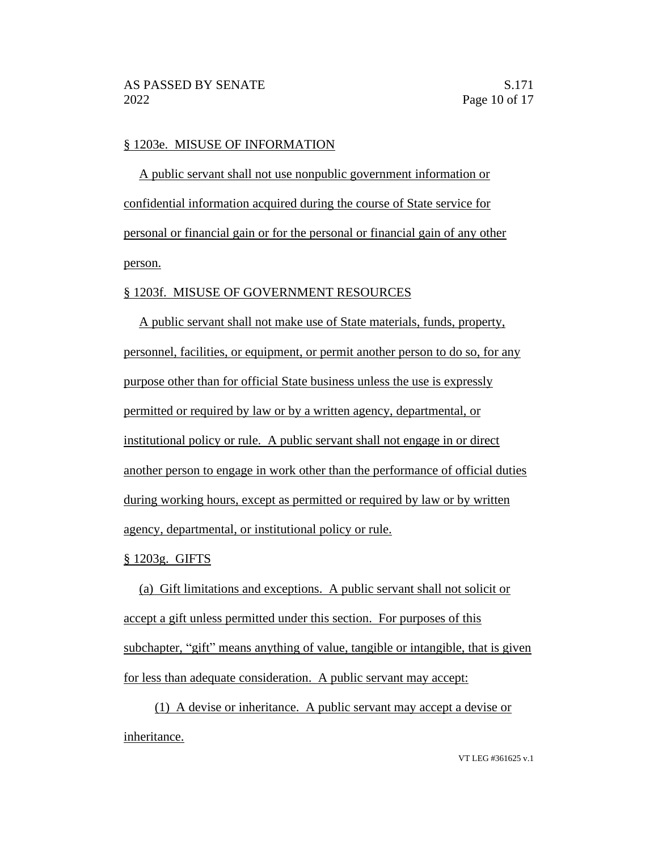#### § 1203e. MISUSE OF INFORMATION

A public servant shall not use nonpublic government information or confidential information acquired during the course of State service for personal or financial gain or for the personal or financial gain of any other person.

#### § 1203f. MISUSE OF GOVERNMENT RESOURCES

A public servant shall not make use of State materials, funds, property, personnel, facilities, or equipment, or permit another person to do so, for any purpose other than for official State business unless the use is expressly permitted or required by law or by a written agency, departmental, or institutional policy or rule. A public servant shall not engage in or direct another person to engage in work other than the performance of official duties during working hours, except as permitted or required by law or by written agency, departmental, or institutional policy or rule.

#### § 1203g. GIFTS

(a) Gift limitations and exceptions. A public servant shall not solicit or accept a gift unless permitted under this section. For purposes of this subchapter, "gift" means anything of value, tangible or intangible, that is given for less than adequate consideration. A public servant may accept:

(1) A devise or inheritance. A public servant may accept a devise or inheritance.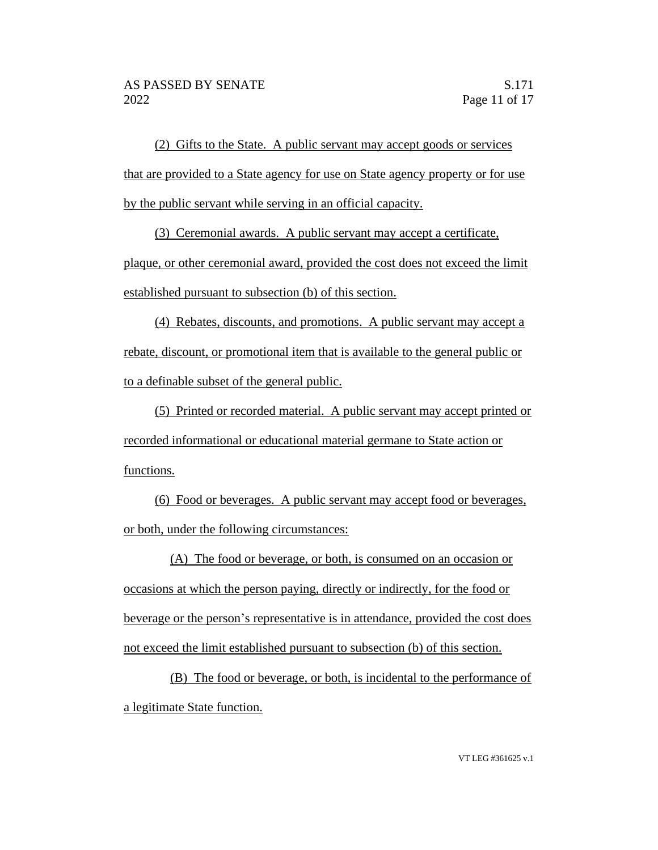(2) Gifts to the State. A public servant may accept goods or services that are provided to a State agency for use on State agency property or for use by the public servant while serving in an official capacity.

(3) Ceremonial awards. A public servant may accept a certificate,

plaque, or other ceremonial award, provided the cost does not exceed the limit established pursuant to subsection (b) of this section.

(4) Rebates, discounts, and promotions. A public servant may accept a rebate, discount, or promotional item that is available to the general public or to a definable subset of the general public.

(5) Printed or recorded material. A public servant may accept printed or recorded informational or educational material germane to State action or functions.

(6) Food or beverages. A public servant may accept food or beverages, or both, under the following circumstances:

(A) The food or beverage, or both, is consumed on an occasion or occasions at which the person paying, directly or indirectly, for the food or beverage or the person's representative is in attendance, provided the cost does not exceed the limit established pursuant to subsection (b) of this section.

(B) The food or beverage, or both, is incidental to the performance of a legitimate State function.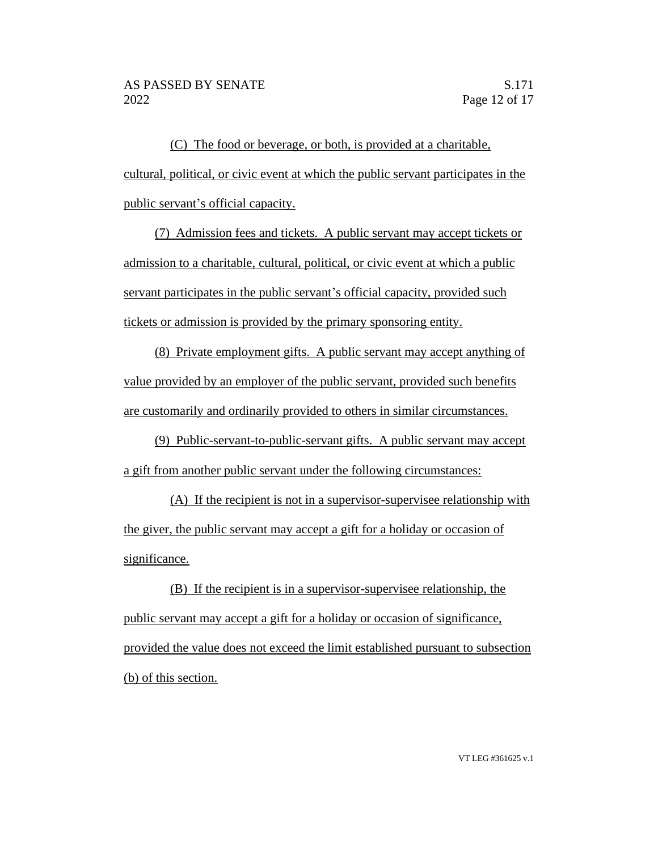(C) The food or beverage, or both, is provided at a charitable, cultural, political, or civic event at which the public servant participates in the public servant's official capacity.

(7) Admission fees and tickets. A public servant may accept tickets or admission to a charitable, cultural, political, or civic event at which a public servant participates in the public servant's official capacity, provided such tickets or admission is provided by the primary sponsoring entity.

(8) Private employment gifts. A public servant may accept anything of value provided by an employer of the public servant, provided such benefits are customarily and ordinarily provided to others in similar circumstances.

(9) Public-servant-to-public-servant gifts. A public servant may accept a gift from another public servant under the following circumstances:

(A) If the recipient is not in a supervisor-supervisee relationship with the giver, the public servant may accept a gift for a holiday or occasion of significance.

(B) If the recipient is in a supervisor-supervisee relationship, the public servant may accept a gift for a holiday or occasion of significance, provided the value does not exceed the limit established pursuant to subsection (b) of this section.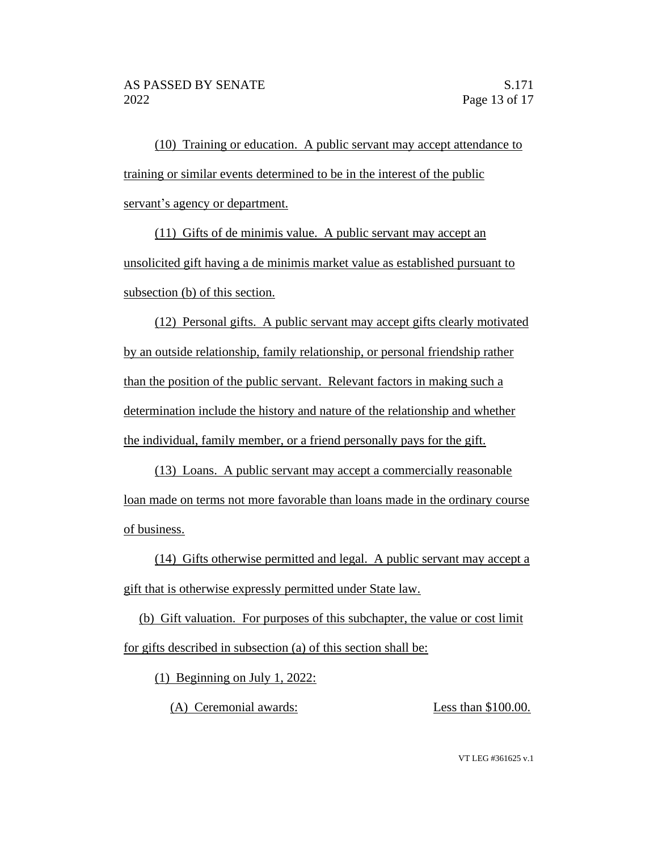(10) Training or education. A public servant may accept attendance to training or similar events determined to be in the interest of the public servant's agency or department.

(11) Gifts of de minimis value. A public servant may accept an unsolicited gift having a de minimis market value as established pursuant to subsection (b) of this section.

(12) Personal gifts. A public servant may accept gifts clearly motivated by an outside relationship, family relationship, or personal friendship rather than the position of the public servant. Relevant factors in making such a determination include the history and nature of the relationship and whether the individual, family member, or a friend personally pays for the gift.

(13) Loans. A public servant may accept a commercially reasonable loan made on terms not more favorable than loans made in the ordinary course of business.

(14) Gifts otherwise permitted and legal. A public servant may accept a gift that is otherwise expressly permitted under State law.

(b) Gift valuation. For purposes of this subchapter, the value or cost limit for gifts described in subsection (a) of this section shall be:

(1) Beginning on July 1, 2022:

(A) Ceremonial awards: Less than \$100.00.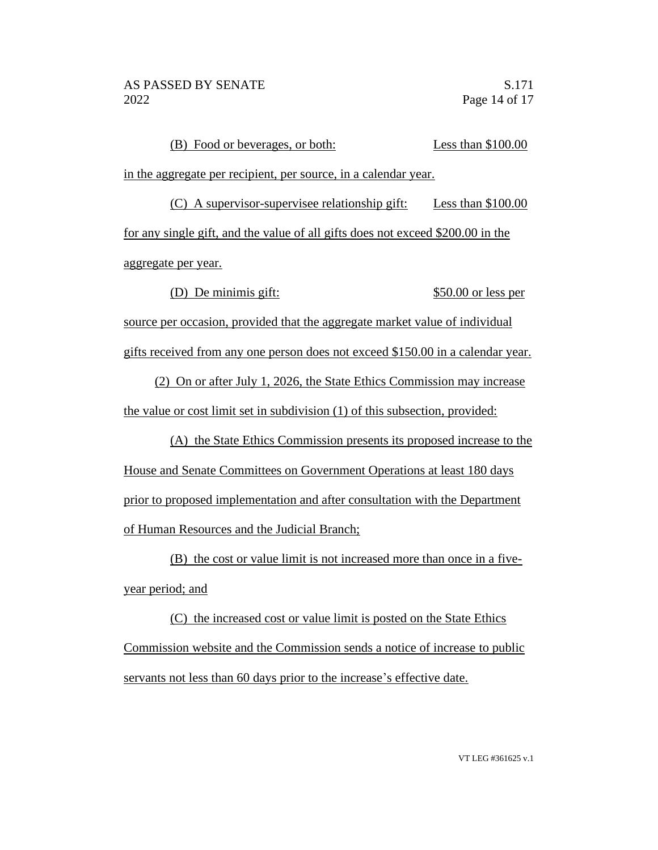| (B) Food or beverages, or both:                                                 | Less than $$100.00$  |
|---------------------------------------------------------------------------------|----------------------|
| in the aggregate per recipient, per source, in a calendar year.                 |                      |
| $(C)$ A supervisor-supervisee relationship gift:                                | Less than $$100.00$  |
| for any single gift, and the value of all gifts does not exceed \$200.00 in the |                      |
| aggregate per year.                                                             |                      |
| De minimis gift:                                                                | $$50.00$ or less per |
| source per occasion, provided that the aggregate market value of individual     |                      |
| gifts received from any one person does not exceed \$150.00 in a calendar year. |                      |

(2) On or after July 1, 2026, the State Ethics Commission may increase the value or cost limit set in subdivision (1) of this subsection, provided:

(A) the State Ethics Commission presents its proposed increase to the House and Senate Committees on Government Operations at least 180 days prior to proposed implementation and after consultation with the Department of Human Resources and the Judicial Branch;

(B) the cost or value limit is not increased more than once in a fiveyear period; and

(C) the increased cost or value limit is posted on the State Ethics Commission website and the Commission sends a notice of increase to public servants not less than 60 days prior to the increase's effective date.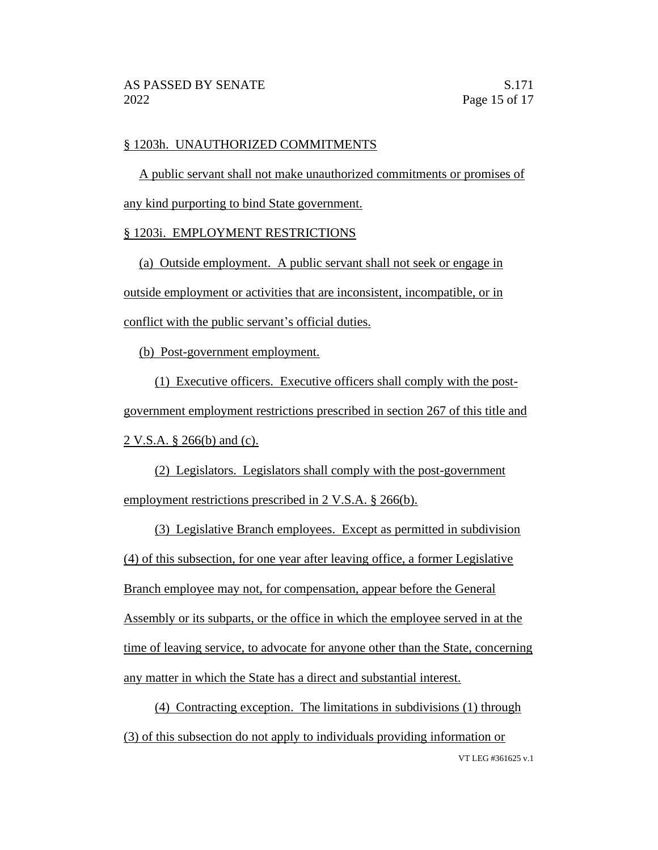#### § 1203h. UNAUTHORIZED COMMITMENTS

A public servant shall not make unauthorized commitments or promises of any kind purporting to bind State government.

#### § 1203i. EMPLOYMENT RESTRICTIONS

(a) Outside employment. A public servant shall not seek or engage in outside employment or activities that are inconsistent, incompatible, or in conflict with the public servant's official duties.

(b) Post-government employment.

(1) Executive officers. Executive officers shall comply with the postgovernment employment restrictions prescribed in section 267 of this title and 2 V.S.A. § 266(b) and (c).

(2) Legislators. Legislators shall comply with the post-government employment restrictions prescribed in 2 V.S.A. § 266(b).

(3) Legislative Branch employees. Except as permitted in subdivision (4) of this subsection, for one year after leaving office, a former Legislative Branch employee may not, for compensation, appear before the General Assembly or its subparts, or the office in which the employee served in at the time of leaving service, to advocate for anyone other than the State, concerning any matter in which the State has a direct and substantial interest.

VT LEG #361625 v.1 (4) Contracting exception. The limitations in subdivisions (1) through (3) of this subsection do not apply to individuals providing information or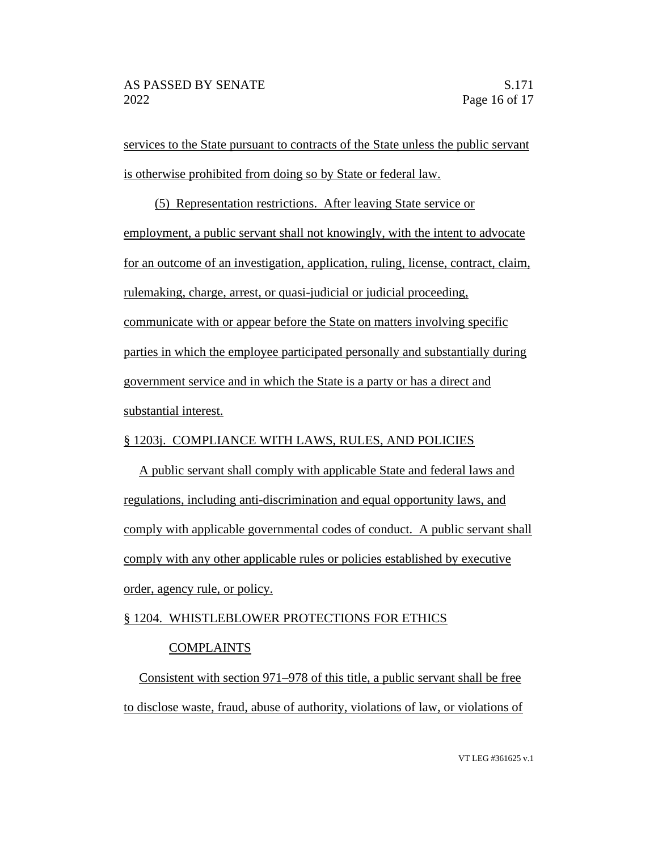services to the State pursuant to contracts of the State unless the public servant is otherwise prohibited from doing so by State or federal law.

(5) Representation restrictions. After leaving State service or employment, a public servant shall not knowingly, with the intent to advocate for an outcome of an investigation, application, ruling, license, contract, claim, rulemaking, charge, arrest, or quasi-judicial or judicial proceeding, communicate with or appear before the State on matters involving specific parties in which the employee participated personally and substantially during government service and in which the State is a party or has a direct and substantial interest.

# § 1203j. COMPLIANCE WITH LAWS, RULES, AND POLICIES

A public servant shall comply with applicable State and federal laws and regulations, including anti-discrimination and equal opportunity laws, and comply with applicable governmental codes of conduct. A public servant shall comply with any other applicable rules or policies established by executive order, agency rule, or policy.

# § 1204. WHISTLEBLOWER PROTECTIONS FOR ETHICS

# COMPLAINTS

Consistent with section 971–978 of this title, a public servant shall be free to disclose waste, fraud, abuse of authority, violations of law, or violations of